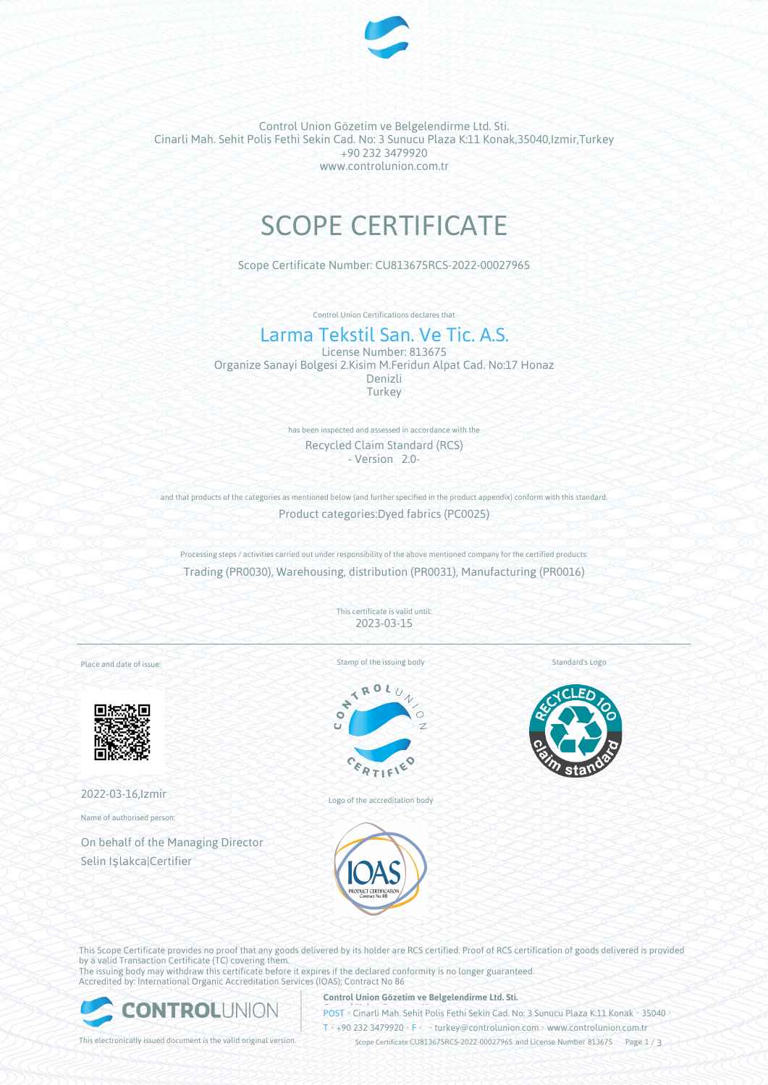

Control Union Gözetim ve Belgelendirme Ltd. Sti. Cinarli Mah. Sehit Polis Fethi Sekin Cad. No: 3 Sunucu Plaza K:11 Konak,35040,Izmir,Turkey +90 232 3479920 www.controlunion.com.tr

# SCOPE CERTIFICATE

Scope Certificate Number: CU813675RCS-2022-00027965

Control Union Certifications declares that

# Larma Tekstil San. Ve Tic. A.S. License Number: 813675

Organize Sanayi Bolgesi 2.Kisim M.Feridun Alpat Cad. No:17 Honaz Denizli Turkey

> has been inspected and assessed in accordance with the Recycled Claim Standard (RCS) - Version 2.0-

and that products of the categories as mentioned below (and further specified in the product appendix) conform with this standard. Product categories:Dyed fabrics (PC0025)

Processing steps / activities carried out under responsibility of the above mentioned company for the certified products: Trading (PR0030), Warehousing, distribution (PR0031), Manufacturing (PR0016)

> This certificate is valid until: 2023-03-15

Place and date of issue:



2022-03-16,Izmir

Name of authorised person:

On behalf of the Managing Director Selin Işlakca|Certifier





Logo of the accreditation body



Standard's Logo

This Scope Certificate provides no proof that any goods delivered by its holder are RCS certified. Proof of RCS certification of goods delivered is provided by a valid Transaction Certificate (TC) covering them. The issuing body may withdraw this certificate before it expires if the declared conformity is no longer guaranteed.

Accredited by: International Organic Accreditation Services (IOAS); Contract No 86



#### **Control Union Gözetim ve Belgelendirme Ltd. Sti.**

**POST** Cinarli Mah. Sehit Polis Fethi Sekin Cad. No: 3 Sunucu Plaza K:11 Konak • 35040

T • +90 232 3479920 • F • • turkey@controlunion.com • www.controlunion.com.tr

This electronically issued document is the valid original version. Scope Certificate CU813675RCS-2022-00027965 and License Number 813675 Page 1 / 3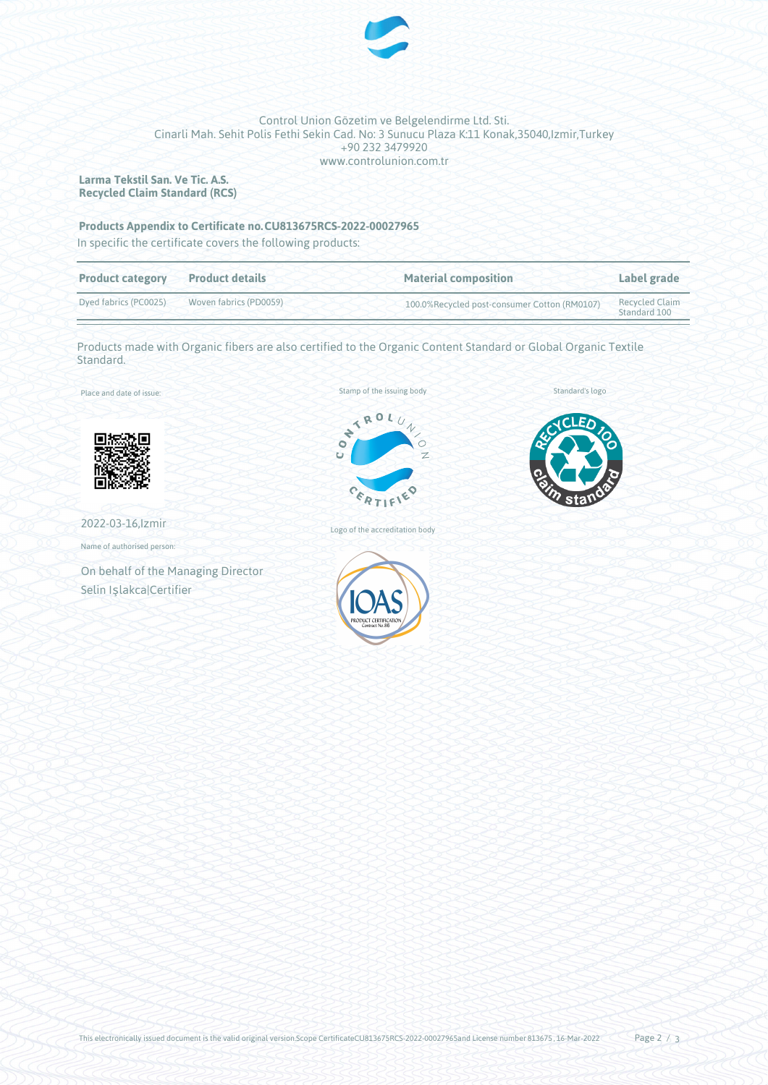

### Control Union Gözetim ve Belgelendirme Ltd. Sti. Cinarli Mah. Sehit Polis Fethi Sekin Cad. No: 3 Sunucu Plaza K:11 Konak,35040,Izmir,Turkey +90 232 3479920 www.controlunion.com.tr

**Larma Tekstil San. Ve Tic. A.S. Recycled Claim Standard (RCS)**

## **Products Appendix to Certificate no.CU813675RCS-2022-00027965**

In specific the certificate covers the following products:

| <b>Product category</b> | <b>Product details</b> | <b>Material composition</b>                  | Label grade                           |
|-------------------------|------------------------|----------------------------------------------|---------------------------------------|
| Dyed fabrics (PC0025)   | Woven fabrics (PD0059) | 100.0%Recycled post-consumer Cotton (RM0107) | <b>Recycled Claim</b><br>Standard 100 |

Products made with Organic fibers are also certified to the Organic Content Standard or Global Organic Textile Standard.

Place and date of issue:



2022-03-16,Izmir

Name of authorised person:

On behalf of the Managing Director Selin Işlakca|Certifier



Standard's logo





Logo of the accreditation body